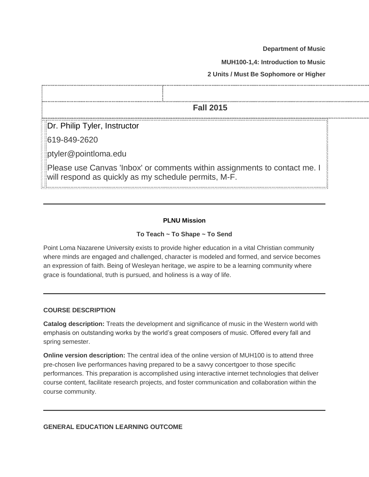**Department of Music**

**MUH100-1,4: Introduction to Music**

**2 Units / Must Be Sophomore or Higher**

| <b>Fall 2015</b>                                                                                                                  |  |  |  |  |  |  |  |  |  |
|-----------------------------------------------------------------------------------------------------------------------------------|--|--|--|--|--|--|--|--|--|
| Dr. Philip Tyler, Instructor                                                                                                      |  |  |  |  |  |  |  |  |  |
| 619-849-2620                                                                                                                      |  |  |  |  |  |  |  |  |  |
| ptyler@pointloma.edu                                                                                                              |  |  |  |  |  |  |  |  |  |
| Please use Canvas 'Inbox' or comments within assignments to contact me. I<br>will respond as quickly as my schedule permits, M-F. |  |  |  |  |  |  |  |  |  |

# **PLNU Mission**

#### **To Teach ~ To Shape ~ To Send**

Point Loma Nazarene University exists to provide higher education in a vital Christian community where minds are engaged and challenged, character is modeled and formed, and service becomes an expression of faith. Being of Wesleyan heritage, we aspire to be a learning community where grace is foundational, truth is pursued, and holiness is a way of life.

#### **COURSE DESCRIPTION**

**Catalog description:** Treats the development and significance of music in the Western world with emphasis on outstanding works by the world's great composers of music. Offered every fall and spring semester.

**Online version description:** The central idea of the online version of MUH100 is to attend three pre-chosen live performances having prepared to be a savvy concertgoer to those specific performances. This preparation is accomplished using interactive internet technologies that deliver course content, facilitate research projects, and foster communication and collaboration within the course community.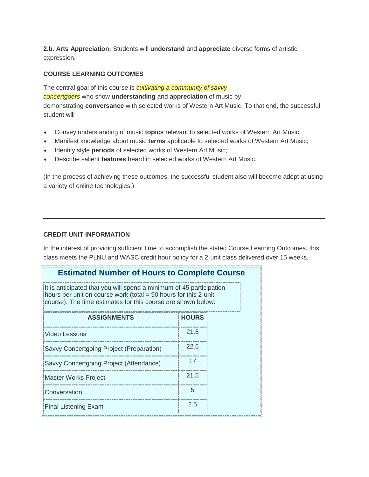**2.b. Arts Appreciation:** Students will **understand** and **appreciate** diverse forms of artistic expression.

### **COURSE LEARNING OUTCOMES**

The central goal of this course is *cultivating a community of savvy concertgoers* who show **understanding** and **appreciation** of music by demonstrating **conversance** with selected works of Western Art Music. To that end, the successful student will

- Convey understanding of music **topics** relevant to selected works of Western Art Music;
- Manifest knowledge about music **terms** applicable to selected works of Western Art Music;
- Identify style **periods** of selected works of Western Art Music;
- Describe salient **features** heard in selected works of Western Art Music.

(In the process of achieving these outcomes, the successful student also will become adept at using a variety of online technologies.)

#### **CREDIT UNIT INFORMATION**

In the interest of providing sufficient time to accomplish the stated Course Learning Outcomes, this class meets the PLNU and WASC credit hour policy for a 2-unit class delivered over 15 weeks.

# **Estimated Number of Hours to Complete Course**

It is anticipated that you will spend a minimum of 45 participation hours per unit on course work (total = 90 hours for this 2-unit course). The time estimates for this course are shown below:

| <b>ASSIGNMENTS</b>                       | <b>HOURS</b> |
|------------------------------------------|--------------|
| Video Lessons                            | 21.5         |
| Savvy Concertgoing Project (Preparation) | 22.5         |
| Savvy Concertgoing Project (Attendance)  | 17           |
| <b>Master Works Project</b>              | 21.5         |
| Conversation                             | 5            |
| <b>Final Listening Exam</b>              | 2.5          |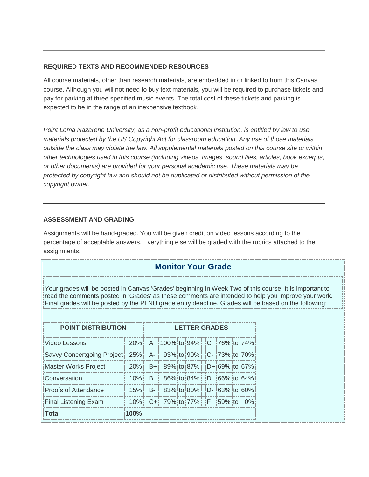### **REQUIRED TEXTS AND RECOMMENDED RESOURCES**

All course materials, other than research materials, are embedded in or linked to from this Canvas course. Although you will not need to buy text materials, you will be required to purchase tickets and pay for parking at three specified music events. The total cost of these tickets and parking is expected to be in the range of an inexpensive textbook.

*Point Loma Nazarene University, as a non-profit educational institution, is entitled by law to use materials protected by the US Copyright Act for classroom education. Any use of those materials outside the class may violate the law. All supplemental materials posted on this course site or within other technologies used in this course (including videos, images, sound files, articles, book excerpts, or other documents) are provided for your personal academic use. These materials may be protected by copyright law and should not be duplicated or distributed without permission of the copyright owner.*

### **ASSESSMENT AND GRADING**

Assignments will be hand-graded. You will be given credit on video lessons according to the percentage of acceptable answers. Everything else will be graded with the rubrics attached to the assignments.

# **Monitor Your Grade**

Your grades will be posted in Canvas 'Grades' beginning in Week Two of this course. It is important to read the comments posted in 'Grades' as these comments are intended to help you improve your work. Final grades will be posted by the PLNU grade entry deadline. Grades will be based on the following:

| <b>POINT DISTRIBUTION</b>                                          |                |  | <b>LETTER GRADES</b> |                                 |  |                         |  |  |  |  |  |  |
|--------------------------------------------------------------------|----------------|--|----------------------|---------------------------------|--|-------------------------|--|--|--|--|--|--|
| Video Lessons                                                      |                |  |                      | 20% A 100% to 94% C 76% to 74%  |  |                         |  |  |  |  |  |  |
| Savvy Concertgoing Project   25%   A-   93% to 90%   C- 73% to 70% |                |  |                      |                                 |  |                         |  |  |  |  |  |  |
| <b>Master Works Project</b>                                        | $20\%$ $B+$    |  |                      | 89% to 87% D+ 69% to 67%        |  |                         |  |  |  |  |  |  |
| Conversation                                                       | $10\%$ : $B$ : |  |                      |                                 |  | 86% to 84% D 66% to 64% |  |  |  |  |  |  |
| Proofs of Attendance                                               |                |  |                      | 15% B- 83% to 80% D- 63% to 60% |  |                         |  |  |  |  |  |  |
| <b>Final Listening Exam</b>                                        |                |  |                      | 10% C+ 79% to 77% F 59% to 0%   |  |                         |  |  |  |  |  |  |
| <b>Total</b>                                                       | 100%           |  |                      |                                 |  |                         |  |  |  |  |  |  |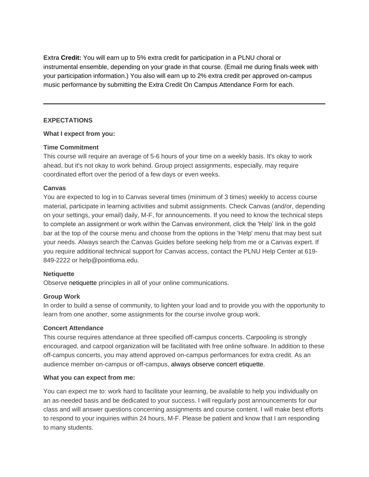**Extra Credit:** You will earn up to 5% extra credit for participation in a PLNU choral or instrumental ensemble, depending on your grade in that course. (Email me during finals week with your participation information.) You also will earn up to 2% extra credit per approved on-campus music performance by submitting the Extra Credit On Campus Attendance Form for each.

### **EXPECTATIONS**

### **What I expect from you:**

### **Time Commitment**

This course will require an average of 5-6 hours of your time on a weekly basis. It's okay to work ahead, but it's not okay to work behind. Group project assignments, especially, may require coordinated effort over the period of a few days or even weeks.

# **Canvas**

You are expected to log in to Canvas several times (minimum of 3 times) weekly to access course material, participate in learning activities and submit assignments. Check Canvas (and/or, depending on your settings, your email) daily, M-F, for announcements. If you need to know the technical steps to complete an assignment or work within the Canvas environment, click the 'Help' link in the gold bar at the top of the course menu and choose from the options in the 'Help' menu that may best suit your needs. Always search the Canvas Guides before seeking help from me or a Canvas expert. If you require additional technical support for Canvas access, contact the PLNU Help Center at 619- 849-2222 or help@pointloma.edu.

#### **Netiquette**

Observe netiquette principles in all of your online communications.

# **Group Work**

In order to build a sense of community, to lighten your load and to provide you with the opportunity to learn from one another, some assignments for the course involve group work.

#### **Concert Attendance**

This course requires attendance at three specified off-campus concerts. Carpooling is strongly encouraged, and carpool organization will be facilitated with free online software. In addition to these off-campus concerts, you may attend approved on-campus performances for extra credit. As an audience member on-campus or off-campus, always observe concert etiquette.

#### **What you can expect from me:**

You can expect me to: work hard to facilitate your learning, be available to help you individually on an as-needed basis and be dedicated to your success. I will regularly post announcements for our class and will answer questions concerning assignments and course content. I will make best efforts to respond to your inquiries within 24 hours, M-F. Please be patient and know that I am responding to many students.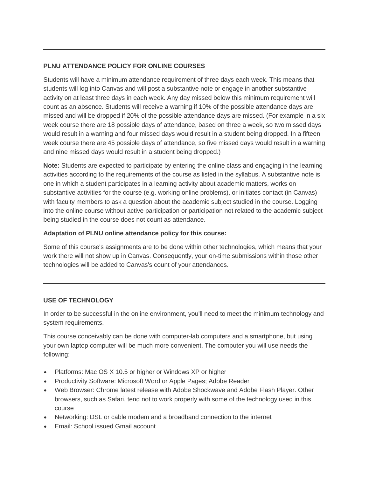# **PLNU ATTENDANCE POLICY FOR ONLINE COURSES**

Students will have a minimum attendance requirement of three days each week. This means that students will log into Canvas and will post a substantive note or engage in another substantive activity on at least three days in each week. Any day missed below this minimum requirement will count as an absence. Students will receive a warning if 10% of the possible attendance days are missed and will be dropped if 20% of the possible attendance days are missed. (For example in a six week course there are 18 possible days of attendance, based on three a week, so two missed days would result in a warning and four missed days would result in a student being dropped. In a fifteen week course there are 45 possible days of attendance, so five missed days would result in a warning and nine missed days would result in a student being dropped.)

**Note:** Students are expected to participate by entering the online class and engaging in the learning activities according to the requirements of the course as listed in the syllabus. A substantive note is one in which a student participates in a learning activity about academic matters, works on substantive activities for the course (e.g. working online problems), or initiates contact (in Canvas) with faculty members to ask a question about the academic subject studied in the course. Logging into the online course without active participation or participation not related to the academic subject being studied in the course does not count as attendance.

# **Adaptation of PLNU online attendance policy for this course:**

Some of this course's assignments are to be done within other technologies, which means that your work there will not show up in Canvas. Consequently, your on-time submissions within those other technologies will be added to Canvas's count of your attendances.

# **USE OF TECHNOLOGY**

In order to be successful in the online environment, you'll need to meet the minimum technology and system requirements.

This course conceivably can be done with computer-lab computers and a smartphone, but using your own laptop computer will be much more convenient. The computer you will use needs the following:

- Platforms: Mac OS X 10.5 or higher or Windows XP or higher
- Productivity Software: Microsoft Word or Apple Pages; Adobe Reader
- Web Browser: Chrome latest release with Adobe Shockwave and Adobe Flash Player. Other browsers, such as Safari, tend not to work properly with some of the technology used in this course
- Networking: DSL or cable modem and a broadband connection to the internet
- Email: School issued Gmail account